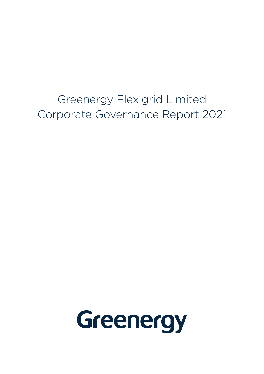Greenergy Flexigrid Limited Corporate Governance Report 2021

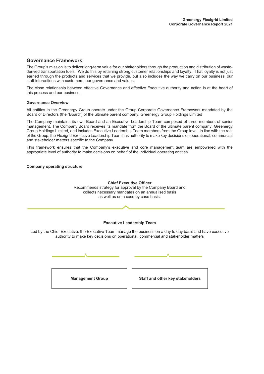### **Governance Framework**

The Group's mission is to deliver long-term value for our stakeholders through the production and distribution of wastederived transportation fuels. We do this by retaining strong customer relationships and loyalty. That loyalty is not just earned through the products and services that we provide, but also includes the way we carry on our business, our staff interactions with customers, our governance and values.

The close relationship between effective Governance and effective Executive authority and action is at the heart of this process and our business.

### **Governance Overview**

All entities in the Greenergy Group operate under the Group Corporate Governance Framework mandated by the Board of Directors (the "Board") of the ultimate parent company, Greenergy Group Holdings Limited

The Company maintains its own Board and an Executive Leadership Team composed of three members of senior management. The Company Board receives its mandate from the Board of the ultimate parent company, Greenergy Group Holdings Limited, and includes Executive Leadership Team members from the Group level. In line with the rest of the Group, the Flexigrid Executive Leadership Team has authority to make key decisions on operational, commercial and stakeholder matters specific to the Company.

This framework ensures that the Company's executive and core management team are empowered with the appropriate level of authority to make decisions on behalf of the individual operating entities.

#### **Company operating structure**

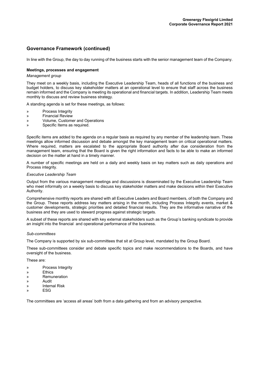## **Governance Framework (continued)**

In line with the Group, the day to day running of the business starts with the senior management team of the Company.

### **Meetings, processes and engagement**

#### *Management group*

They meet on a weekly basis, including the Executive Leadership Team, heads of all functions of the business and budget holders, to discuss key stakeholder matters at an operational level to ensure that staff across the business remain informed and the Company is meeting its operational and financial targets. In addition, Leadership Team meets monthly to discuss and review business strategy.

A standing agenda is set for these meetings, as follows:

- » Process Integrity
- » Financial Review
- » Volume, Customer and Operations
- » Specific Items as required.

Specific items are added to the agenda on a regular basis as required by any member of the leadership team. These meetings allow informed discussion and debate amongst the key management team on critical operational matters. Where required, matters are escalated to the appropriate Board authority after due consideration from the management team, ensuring that the Board is given the right information and facts to be able to make an informed decision on the matter at hand in a timely manner.

A number of specific meetings are held on a daily and weekly basis on key matters such as daily operations and Process integrity.

#### *Executive Leadership Team*

Output from the various management meetings and discussions is disseminated by the Executive Leadership Team who meet informally on a weekly basis to discuss key stakeholder matters and make decisions within their Executive Authority.

Comprehensive monthly reports are shared with all Executive Leaders and Board members, of both the Company and the Group. These reports address key matters arising in the month, including Process Integrity events, market & customer developments, strategic priorities and detailed financial results. They are the informative narrative of the business and they are used to steward progress against strategic targets.

A subset of these reports are shared with key external stakeholders such as the Group's banking syndicate to provide an insight into the financial and operational performance of the business.

#### *Sub-committees*

The Company is supported by six sub-committees that sit at Group level, mandated by the Group Board.

These sub-committees consider and debate specific topics and make recommendations to the Boards, and have oversight of the business.

These are:

- » Process Integrity
- » Ethics
- » Remuneration
- » Audit
- » Internal Risk
- » ESG

The committees are 'access all areas' both from a data gathering and from an advisory perspective.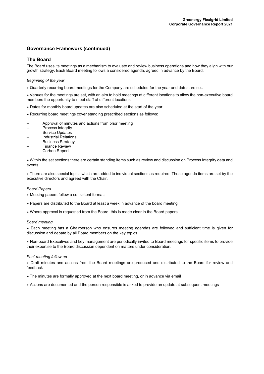## **Governance Framework (continued)**

### **The Board**

The Board uses its meetings as a mechanism to evaluate and review business operations and how they align with our growth strategy. Each Board meeting follows a considered agenda, agreed in advance by the Board.

### *Beginning of the year*

» Quarterly recurring board meetings for the Company are scheduled for the year and dates are set.

» Venues for the meetings are set, with an aim to hold meetings at different locations to allow the non-executive board members the opportunity to meet staff at different locations.

- » Dates for monthly board updates are also scheduled at the start of the year.
- » Recurring board meetings cover standing prescribed sections as follows:
- Approval of minutes and actions from prior meeting
- Process integrity
- Service Updates
- Industrial Relations
- Business Strategy
- Finance Review – Carbon Report
- 

» Within the set sections there are certain standing items such as review and discussion on Process Integrity data and events.

» There are also special topics which are added to individual sections as required. These agenda items are set by the executive directors and agreed with the Chair.

### *Board Papers*

» Meeting papers follow a consistent format;

» Papers are distributed to the Board at least a week in advance of the board meeting

» Where approval is requested from the Board, this is made clear in the Board papers.

### *Board meeting*

» Each meeting has a Chairperson who ensures meeting agendas are followed and sufficient time is given for discussion and debate by all Board members on the key topics.

» Non-board Executives and key management are periodically invited to Board meetings for specific items to provide their expertise to the Board discussion dependent on matters under consideration.

### *Post-meeting follow up*

» Draft minutes and actions from the Board meetings are produced and distributed to the Board for review and feedback

» The minutes are formally approved at the next board meeting, or in advance via email

» Actions are documented and the person responsible is asked to provide an update at subsequent meetings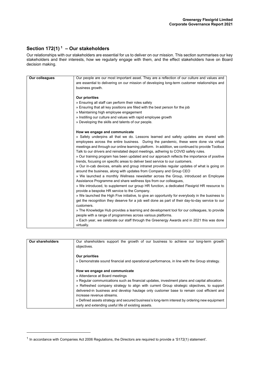## **Section 172(1) <sup>1</sup> – Our stakeholders**

Our relationships with our stakeholders are essential for us to deliver on our mission. This section summarises our key stakeholders and their interests, how we regularly engage with them, and the effect stakeholders have on Board decision making.

| Our colleagues | Our people are our most important asset. They are a reflection of our culture and values and    |  |
|----------------|-------------------------------------------------------------------------------------------------|--|
|                | are essential to delivering on our mission of developing long-term customer relationships and   |  |
|                | business growth.                                                                                |  |
|                |                                                                                                 |  |
|                | <b>Our priorities</b>                                                                           |  |
|                | » Ensuring all staff can perform their roles safely                                             |  |
|                | » Ensuring that all key positions are filled with the best person for the job                   |  |
|                | » Maintaining high employee engagement                                                          |  |
|                | » Instilling our culture and values with rapid employee growth                                  |  |
|                | » Developing the skills and talents of our people.                                              |  |
|                |                                                                                                 |  |
|                | How we engage and communicate                                                                   |  |
|                | » Safety underpins all that we do. Lessons learned and safety updates are shared with           |  |
|                | employees across the entire business. During the pandemic, these were done via virtual          |  |
|                | meetings and through our online learning platform. In addition, we continued to provide Toolbox |  |
|                | Talk to our drivers and reinstated depot meetings, adhering to COVID safety rules.              |  |
|                | » Our training program has been updated and our approach reflects the importance of positive    |  |
|                |                                                                                                 |  |
|                | trends, focusing on specific areas to deliver best service to our customers.                    |  |
|                | » Our in-cab devices, emails and group intranet provides regular updates of what is going on    |  |
|                | around the business, along with updates from Company and Group CEO                              |  |
|                | » We launched a monthly Wellness newsletter across the Group, introduced an Employee            |  |
|                | Assistance Programme and share wellness tips from our colleagues,                               |  |
|                | » We introduced, to supplement our group HR function, a dedicated Flexigrid HR resource to      |  |
|                | provide a bespoke HR service to the Company.                                                    |  |
|                | » We launched the High Five initiative, to give an opportunity for everybody in the business to |  |
|                | get the recognition they deserve for a job well done as part of their day-to-day service to our |  |
|                | customers.                                                                                      |  |
|                | » The Knowledge Hub provides a learning and development tool for our colleagues, to provide     |  |
|                | people with a range of programmes across various platforms.                                     |  |
|                | » Each year, we celebrate our staff through the Greenergy Awards and in 2021 this was done      |  |
|                | virtually.                                                                                      |  |
|                |                                                                                                 |  |

| <b>Our shareholders</b> | Our shareholders support the growth of our business to achieve our long-term growth<br>objectives.                                                                                                                                                                                                                                                                                                                                                                                                                                             |
|-------------------------|------------------------------------------------------------------------------------------------------------------------------------------------------------------------------------------------------------------------------------------------------------------------------------------------------------------------------------------------------------------------------------------------------------------------------------------------------------------------------------------------------------------------------------------------|
|                         | Our priorities<br>» Demonstrate sound financial and operational performance, in line with the Group strategy.                                                                                                                                                                                                                                                                                                                                                                                                                                  |
|                         | How we engage and communicate<br>» Attendance at Board meetings<br>» Regular communications such as financial updates, investment plans and capital allocation.<br>» Refreshed company strategy to align with current Group strategic objectives, to support<br>delivered-in business and develop haulage only customer base to remain cost efficient and<br>increase revenue streams.<br>» Defined assets strategy and secured business's long-term interest by ordering new equipment<br>early and extending useful life of existing assets. |

 $1$  In accordance with Companies Act 2006 Regulations, the Directors are required to provide a 'S172(1) statement'.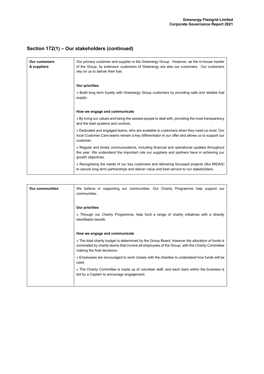# **Section 172(1) – Our stakeholders (continued)**

| <b>Our customers</b><br>& suppliers | Our primary customer and supplier is the Greenergy Group. However, as the in-house haulier<br>of the Group, by extension customers of Greenergy are also our customers. Our customers<br>rely on us to deliver their fuel. |  |
|-------------------------------------|----------------------------------------------------------------------------------------------------------------------------------------------------------------------------------------------------------------------------|--|
|                                     | Our priorities                                                                                                                                                                                                             |  |
|                                     | » Build long term loyalty with Greenergy Group customers by providing safe and reliable fuel<br>supply.                                                                                                                    |  |
|                                     | How we engage and communicate                                                                                                                                                                                              |  |
|                                     | » By living our values and being the easiest people to deal with, providing the most transparency<br>and the best systems and controls.                                                                                    |  |
|                                     | » Dedicated and engaged teams, who are available to customers when they need us most. Our<br>local Customer Care teams remain a key differentiator in our offer and allows us to support our<br>customer.                  |  |
|                                     | » Regular and timely communications, including financial and operational updates throughout<br>the year. We understand the important role our suppliers and partners have in achieving our<br>growth objectives.           |  |
|                                     | » Recognising the needs of our key customers and delivering focussed projects (like MIDAS)<br>to secure long term partnerships and deliver value and best service to our stakeholders.                                     |  |

| We believe in supporting our communities. Our Charity Programme help support our<br>communities.                                                                                                                                 |  |  |
|----------------------------------------------------------------------------------------------------------------------------------------------------------------------------------------------------------------------------------|--|--|
| Our priorities                                                                                                                                                                                                                   |  |  |
| » Through our Charity Programme, help fund a range of charity initiatives with a directly<br>identifiable benefit.                                                                                                               |  |  |
| How we engage and communicate                                                                                                                                                                                                    |  |  |
| » The total charity budget is determined by the Group Board, however the allocation of funds is<br>nominated by charity teams that involve all employees of the Group, with the Charity Committee<br>making the final decisions. |  |  |
| » Employees are encouraged to work closely with the charities to understand how funds will be<br>used.                                                                                                                           |  |  |
| » The Charity Committee is made up of volunteer staff, and each team within the business is<br>led by a Captain to encourage engagement.                                                                                         |  |  |
|                                                                                                                                                                                                                                  |  |  |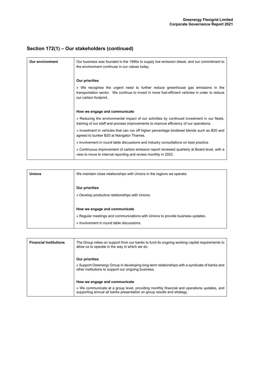# **Section 172(1) – Our stakeholders (continued)**

| <b>Our environment</b> | Our business was founded in the 1990s to supply low emission diesel, and our commitment to<br>the environment continues in our values today.                                                                 |  |
|------------------------|--------------------------------------------------------------------------------------------------------------------------------------------------------------------------------------------------------------|--|
|                        | <b>Our priorities</b>                                                                                                                                                                                        |  |
|                        | » We recognise the urgent need to further reduce greenhouse gas emissions in the<br>transportation sector. We continue to invest in more fuel-efficient vehicles in order to reduce<br>our carbon footprint. |  |
|                        | How we engage and communicate                                                                                                                                                                                |  |
|                        | » Reducing the environmental impact of our activities by continued investment in our fleets,<br>training of our staff and process improvements to improve efficiency of our operations.                      |  |
|                        | » Investment in vehicles that can run off higher percentage biodiesel blends such as B20 and<br>agreed to bunker B20 at Navigator Thames.                                                                    |  |
|                        | » Involvement in round table discussions and industry consultations on best practice.                                                                                                                        |  |
|                        | » Continuous improvement of carbon emission report reviewed quarterly at Board level, with a<br>view to move to internal reporting and review monthly in 2022.                                               |  |

| <b>Unions</b> | We maintain close relationships with Unions in the regions we operate.                                          |  |
|---------------|-----------------------------------------------------------------------------------------------------------------|--|
|               | Our priorities<br>» Develop productive relationships with Unions.                                               |  |
|               | How we engage and communicate<br>» Regular meetings and communications with Unions to provide business updates. |  |
|               | » Involvement in round table discussions.                                                                       |  |

| <b>Financial Institutions</b> | The Group relies on support from our banks to fund its ongoing working capital requirements to<br>allow us to operate in the way in which we do.                      |  |
|-------------------------------|-----------------------------------------------------------------------------------------------------------------------------------------------------------------------|--|
|                               | Our priorities                                                                                                                                                        |  |
|                               | » Support Greenergy Group in developing long-term relationships with a syndicate of banks and<br>other institutions to support our ongoing business.                  |  |
|                               | How we engage and communicate                                                                                                                                         |  |
|                               | » We communicate at a group level, providing monthly financial and operations updates, and<br>supporting annual all banks presentation on group results and strategy. |  |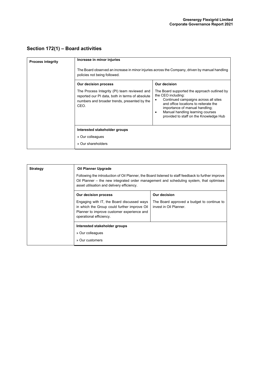# **Section 172(1) – Board activities**

| <b>Process integrity</b> | Increase in minor injuries<br>The Board observed an increase in minor injuries across the Company, driven by manual handling<br>policies not being followed. |                                                                                                                                                                                                                                                                          |  |
|--------------------------|--------------------------------------------------------------------------------------------------------------------------------------------------------------|--------------------------------------------------------------------------------------------------------------------------------------------------------------------------------------------------------------------------------------------------------------------------|--|
|                          | Our decision process                                                                                                                                         | Our decision                                                                                                                                                                                                                                                             |  |
|                          | The Process Integrity (PI) team reviewed and<br>reported our PI data, both in terms of absolute<br>numbers and broader trends, presented by the<br>CEO.      | The Board supported the approach outlined by<br>the CEO including:<br>Continued campaigns across all sites<br>and office locations to reiterate the<br>importance of manual handling;<br>Manual handling learning courses<br>٠<br>provided to staff on the Knowledge Hub |  |
|                          | Interested stakeholder groups                                                                                                                                |                                                                                                                                                                                                                                                                          |  |
|                          | » Our colleagues                                                                                                                                             |                                                                                                                                                                                                                                                                          |  |
|                          | » Our shareholders                                                                                                                                           |                                                                                                                                                                                                                                                                          |  |

| <b>Strategy</b> | Oil Planner Upgrade<br>Following the introduction of Oil Planner, the Board listened to staff feedback to further improve<br>Oil Planner – the new integrated order management and scheduling system, that optimises<br>asset utilisation and delivery efficiency. |                                                                      |
|-----------------|--------------------------------------------------------------------------------------------------------------------------------------------------------------------------------------------------------------------------------------------------------------------|----------------------------------------------------------------------|
|                 |                                                                                                                                                                                                                                                                    |                                                                      |
|                 | Our decision process                                                                                                                                                                                                                                               | Our decision                                                         |
|                 | Engaging with IT, the Board discussed ways<br>in which the Group could further improve Oil<br>Planner to improve customer experience and<br>operational efficiency.                                                                                                | The Board approved a budget to continue to<br>invest in Oil Planner. |
|                 | Interested stakeholder groups                                                                                                                                                                                                                                      |                                                                      |
|                 | » Our colleagues                                                                                                                                                                                                                                                   |                                                                      |
|                 | » Our customers                                                                                                                                                                                                                                                    |                                                                      |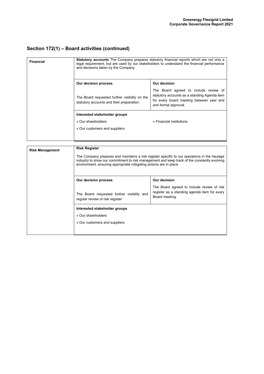# **Section 172(1) – Board activities (continued)**

| <b>Financial</b>       | <b>Statutory accounts</b> The Company prepares statutory financial reports which are not only a<br>legal requirement, but are used by our stakeholders to understand the financial performance<br>and decisions taken by the Company. |                                                                                                                                                           |  |
|------------------------|---------------------------------------------------------------------------------------------------------------------------------------------------------------------------------------------------------------------------------------|-----------------------------------------------------------------------------------------------------------------------------------------------------------|--|
|                        | Our decision process                                                                                                                                                                                                                  | Our decision                                                                                                                                              |  |
|                        | The Board requested further visibility on the<br>statutory accounts and their preparation.                                                                                                                                            | The Board agreed to include review of<br>statutory accounts as a standing Agenda item<br>for every board meeting between year end<br>and formal approval. |  |
|                        | Interested stakeholder groups                                                                                                                                                                                                         |                                                                                                                                                           |  |
|                        | » Our shareholders                                                                                                                                                                                                                    | » Financial institutions                                                                                                                                  |  |
|                        | » Our customers and suppliers                                                                                                                                                                                                         |                                                                                                                                                           |  |
|                        |                                                                                                                                                                                                                                       |                                                                                                                                                           |  |
|                        |                                                                                                                                                                                                                                       |                                                                                                                                                           |  |
| <b>Risk Management</b> | <b>Risk Register</b>                                                                                                                                                                                                                  |                                                                                                                                                           |  |

| <b>Risk Management</b> | KISK KEYISLEI<br>The Company prepares and maintains a risk register specific to our operations in the haulage<br>industry to show our commitment to risk management and keep track of the constantly evolving<br>environment, ensuring appropriate mitigating actions are in place. |                                                                                                              |
|------------------------|-------------------------------------------------------------------------------------------------------------------------------------------------------------------------------------------------------------------------------------------------------------------------------------|--------------------------------------------------------------------------------------------------------------|
|                        | Our decision process                                                                                                                                                                                                                                                                | Our decision                                                                                                 |
|                        | The Board requested further visibility and<br>regular review of risk register                                                                                                                                                                                                       | The Board agreed to include review of risk<br>register as a standing agenda item for every<br>Board meeting. |
|                        | Interested stakeholder groups                                                                                                                                                                                                                                                       |                                                                                                              |
|                        | » Our shareholders                                                                                                                                                                                                                                                                  |                                                                                                              |
|                        | » Our customers and suppliers                                                                                                                                                                                                                                                       |                                                                                                              |